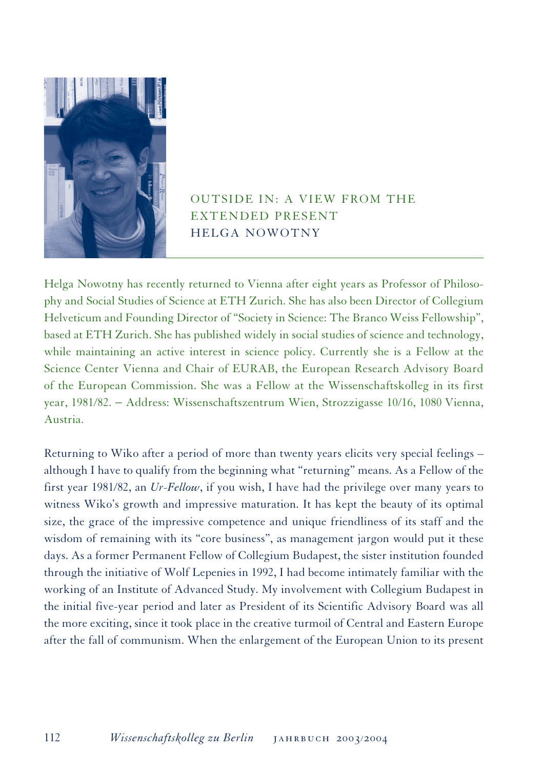

## OUTSIDE IN: A VIEW FROM THE EXTENDED PRESENT HELGA NOWOTNY

Helga Nowotny has recently returned to Vienna after eight years as Professor of Philosophy and Social Studies of Science at ETH Zurich. She has also been Director of Collegium Helveticum and Founding Director of "Society in Science: The Branco Weiss Fellowship", based at ETH Zurich. She has published widely in social studies of science and technology, while maintaining an active interest in science policy. Currently she is a Fellow at the Science Center Vienna and Chair of EURAB, the European Research Advisory Board of the European Commission. She was a Fellow at the Wissenschaftskolleg in its first year, 1981/82. − Address: Wissenschaftszentrum Wien, Strozzigasse 10/16, 1080 Vienna, Austria.

Returning to Wiko after a period of more than twenty years elicits very special feelings – although I have to qualify from the beginning what "returning" means. As a Fellow of the first year 1981/82, an *Ur-Fellow*, if you wish, I have had the privilege over many years to witness Wiko's growth and impressive maturation. It has kept the beauty of its optimal size, the grace of the impressive competence and unique friendliness of its staff and the wisdom of remaining with its "core business", as management jargon would put it these days. As a former Permanent Fellow of Collegium Budapest, the sister institution founded through the initiative of Wolf Lepenies in 1992, I had become intimately familiar with the working of an Institute of Advanced Study. My involvement with Collegium Budapest in the initial five-year period and later as President of its Scientific Advisory Board was all the more exciting, since it took place in the creative turmoil of Central and Eastern Europe after the fall of communism. When the enlargement of the European Union to its present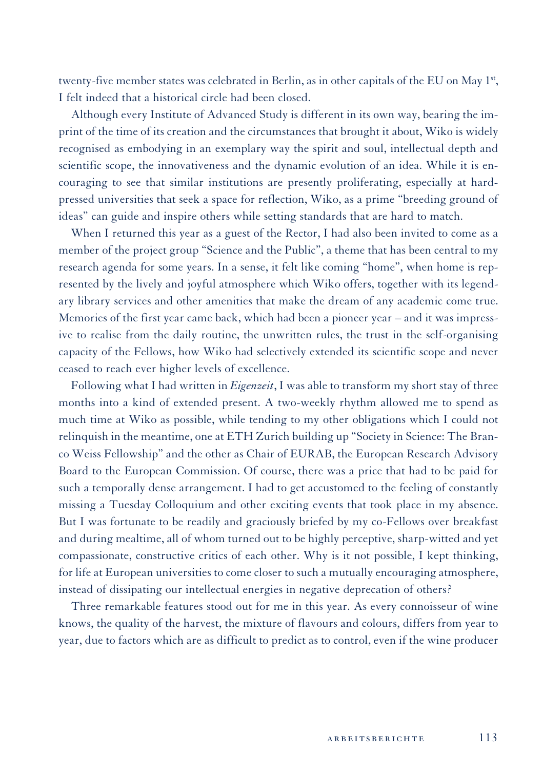twenty-five member states was celebrated in Berlin, as in other capitals of the EU on May 1st, I felt indeed that a historical circle had been closed.

Although every Institute of Advanced Study is different in its own way, bearing the imprint of the time of its creation and the circumstances that brought it about, Wiko is widely recognised as embodying in an exemplary way the spirit and soul, intellectual depth and scientific scope, the innovativeness and the dynamic evolution of an idea. While it is encouraging to see that similar institutions are presently proliferating, especially at hardpressed universities that seek a space for reflection, Wiko, as a prime "breeding ground of ideas" can guide and inspire others while setting standards that are hard to match.

When I returned this year as a guest of the Rector, I had also been invited to come as a member of the project group "Science and the Public", a theme that has been central to my research agenda for some years. In a sense, it felt like coming "home", when home is represented by the lively and joyful atmosphere which Wiko offers, together with its legendary library services and other amenities that make the dream of any academic come true. Memories of the first year came back, which had been a pioneer year – and it was impressive to realise from the daily routine, the unwritten rules, the trust in the self-organising capacity of the Fellows, how Wiko had selectively extended its scientific scope and never ceased to reach ever higher levels of excellence.

Following what I had written in *Eigenzeit*, I was able to transform my short stay of three months into a kind of extended present. A two-weekly rhythm allowed me to spend as much time at Wiko as possible, while tending to my other obligations which I could not relinquish in the meantime, one at ETH Zurich building up "Society in Science: The Branco Weiss Fellowship" and the other as Chair of EURAB, the European Research Advisory Board to the European Commission. Of course, there was a price that had to be paid for such a temporally dense arrangement. I had to get accustomed to the feeling of constantly missing a Tuesday Colloquium and other exciting events that took place in my absence. But I was fortunate to be readily and graciously briefed by my co-Fellows over breakfast and during mealtime, all of whom turned out to be highly perceptive, sharp-witted and yet compassionate, constructive critics of each other. Why is it not possible, I kept thinking, for life at European universities to come closer to such a mutually encouraging atmosphere, instead of dissipating our intellectual energies in negative deprecation of others?

Three remarkable features stood out for me in this year. As every connoisseur of wine knows, the quality of the harvest, the mixture of flavours and colours, differs from year to year, due to factors which are as difficult to predict as to control, even if the wine producer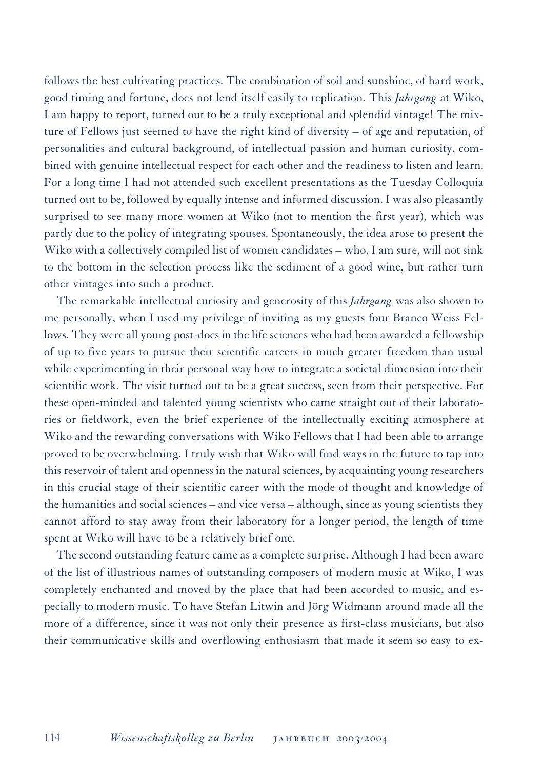follows the best cultivating practices. The combination of soil and sunshine, of hard work, good timing and fortune, does not lend itself easily to replication. This *Jahrgang* at Wiko, I am happy to report, turned out to be a truly exceptional and splendid vintage! The mixture of Fellows just seemed to have the right kind of diversity – of age and reputation, of personalities and cultural background, of intellectual passion and human curiosity, combined with genuine intellectual respect for each other and the readiness to listen and learn. For a long time I had not attended such excellent presentations as the Tuesday Colloquia turned out to be, followed by equally intense and informed discussion. I was also pleasantly surprised to see many more women at Wiko (not to mention the first year), which was partly due to the policy of integrating spouses. Spontaneously, the idea arose to present the Wiko with a collectively compiled list of women candidates – who, I am sure, will not sink to the bottom in the selection process like the sediment of a good wine, but rather turn other vintages into such a product.

The remarkable intellectual curiosity and generosity of this *Jahrgang* was also shown to me personally, when I used my privilege of inviting as my guests four Branco Weiss Fellows. They were all young post-docs in the life sciences who had been awarded a fellowship of up to five years to pursue their scientific careers in much greater freedom than usual while experimenting in their personal way how to integrate a societal dimension into their scientific work. The visit turned out to be a great success, seen from their perspective. For these open-minded and talented young scientists who came straight out of their laboratories or fieldwork, even the brief experience of the intellectually exciting atmosphere at Wiko and the rewarding conversations with Wiko Fellows that I had been able to arrange proved to be overwhelming. I truly wish that Wiko will find ways in the future to tap into this reservoir of talent and openness in the natural sciences, by acquainting young researchers in this crucial stage of their scientific career with the mode of thought and knowledge of the humanities and social sciences – and vice versa – although, since as young scientists they cannot afford to stay away from their laboratory for a longer period, the length of time spent at Wiko will have to be a relatively brief one.

The second outstanding feature came as a complete surprise. Although I had been aware of the list of illustrious names of outstanding composers of modern music at Wiko, I was completely enchanted and moved by the place that had been accorded to music, and especially to modern music. To have Stefan Litwin and Jörg Widmann around made all the more of a difference, since it was not only their presence as first-class musicians, but also their communicative skills and overflowing enthusiasm that made it seem so easy to ex